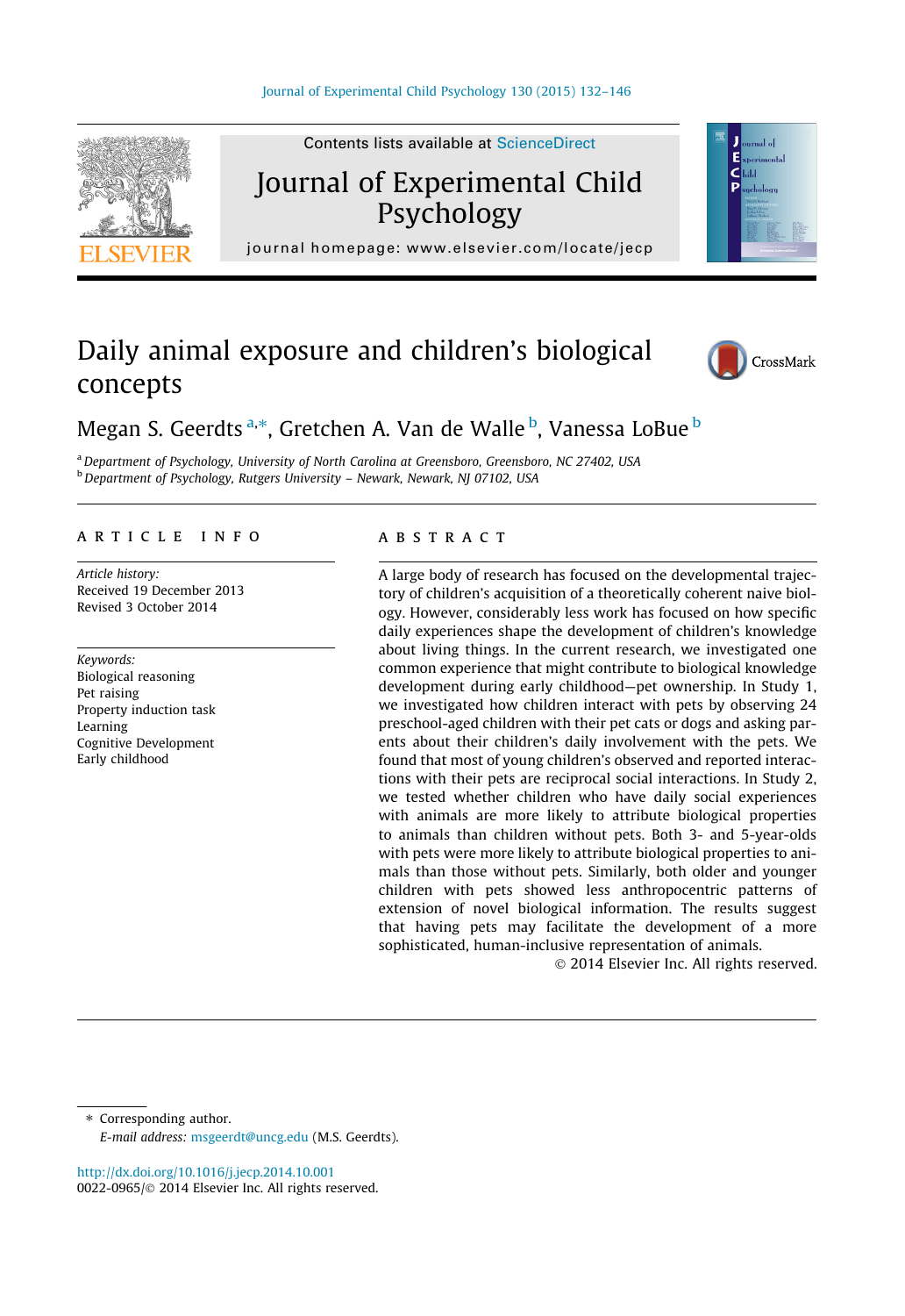

Contents lists available at [ScienceDirect](http://www.sciencedirect.com/science/journal/00220965)

# Journal of Experimental Child Psychology

E أحاديث وتناسب  $C<sub>ball</sub>$ b

journal homepage: [www.elsevier.com/locate/jecp](http://www.elsevier.com/locate/jecp)

## Daily animal exposure and children's biological concepts



## Megan S. Geerdts <sup>a,</sup>\*, Gretchen A. Van de Walle <sup>b</sup>, Vanessa LoBue <sup>b</sup>

a Department of Psychology, University of North Carolina at Greensboro, Greensboro, NC 27402, USA b Department of Psychology, Rutgers University - Newark, Newark, NJ 07102, USA

## article info

Article history: Received 19 December 2013 Revised 3 October 2014

Keywords: Biological reasoning Pet raising Property induction task Learning Cognitive Development Early childhood

#### **ABSTRACT**

A large body of research has focused on the developmental trajectory of children's acquisition of a theoretically coherent naive biology. However, considerably less work has focused on how specific daily experiences shape the development of children's knowledge about living things. In the current research, we investigated one common experience that might contribute to biological knowledge development during early childhood—pet ownership. In Study 1, we investigated how children interact with pets by observing 24 preschool-aged children with their pet cats or dogs and asking parents about their children's daily involvement with the pets. We found that most of young children's observed and reported interactions with their pets are reciprocal social interactions. In Study 2, we tested whether children who have daily social experiences with animals are more likely to attribute biological properties to animals than children without pets. Both 3- and 5-year-olds with pets were more likely to attribute biological properties to animals than those without pets. Similarly, both older and younger children with pets showed less anthropocentric patterns of extension of novel biological information. The results suggest that having pets may facilitate the development of a more sophisticated, human-inclusive representation of animals.

- 2014 Elsevier Inc. All rights reserved.

⇑ Corresponding author. E-mail address: [msgeerdt@uncg.edu](mailto:msgeerdt@uncg.edu) (M.S. Geerdts).

<http://dx.doi.org/10.1016/j.jecp.2014.10.001> 0022-0965/© 2014 Elsevier Inc. All rights reserved.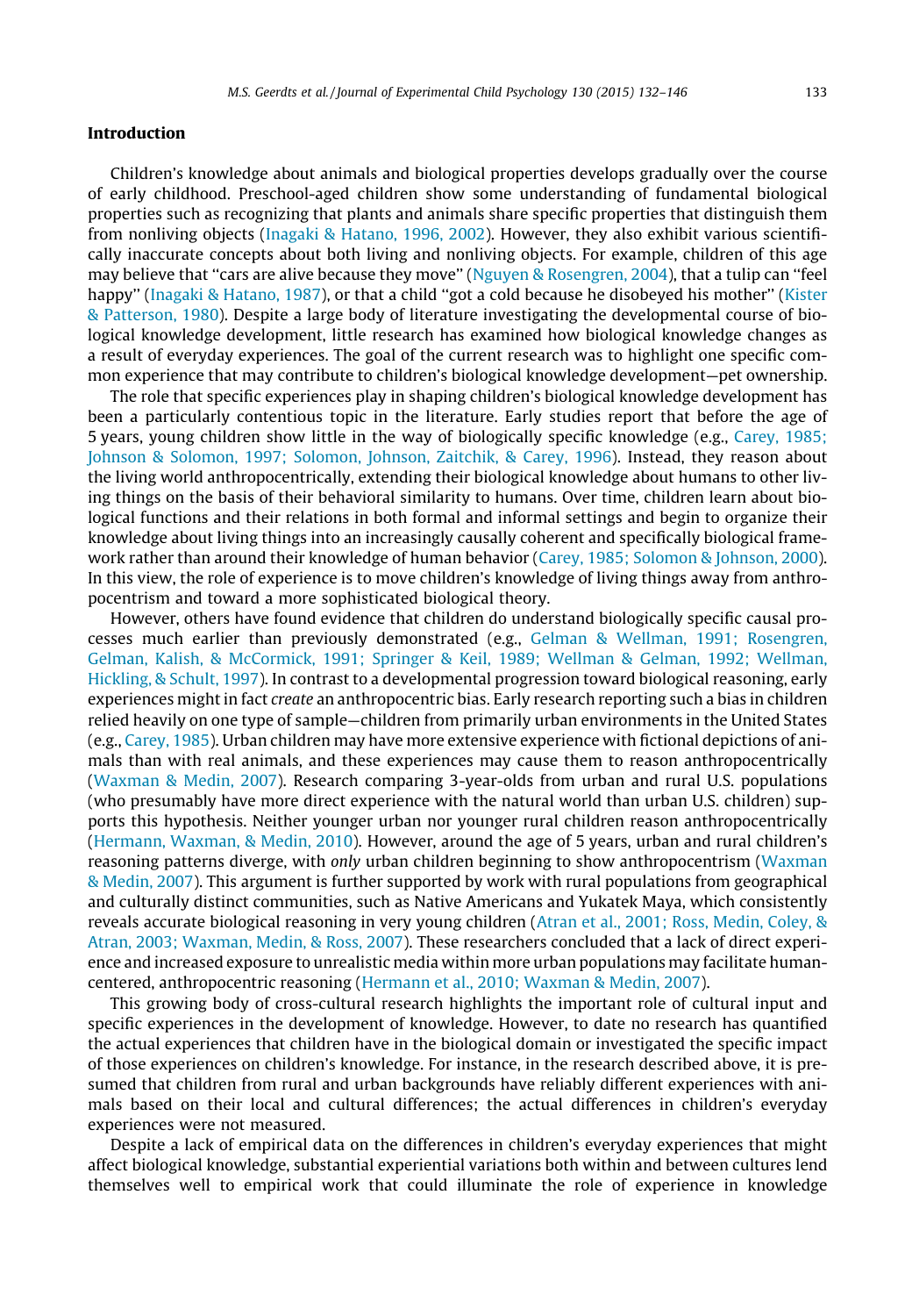## Introduction

Children's knowledge about animals and biological properties develops gradually over the course of early childhood. Preschool-aged children show some understanding of fundamental biological properties such as recognizing that plants and animals share specific properties that distinguish them from nonliving objects ([Inagaki & Hatano, 1996, 2002\)](#page-14-0). However, they also exhibit various scientifically inaccurate concepts about both living and nonliving objects. For example, children of this age may believe that ''cars are alive because they move'' ([Nguyen & Rosengren, 2004](#page-14-0)), that a tulip can ''feel happy'' ([Inagaki & Hatano, 1987\)](#page-14-0), or that a child ''got a cold because he disobeyed his mother'' ([Kister](#page-14-0) [& Patterson, 1980](#page-14-0)). Despite a large body of literature investigating the developmental course of biological knowledge development, little research has examined how biological knowledge changes as a result of everyday experiences. The goal of the current research was to highlight one specific common experience that may contribute to children's biological knowledge development—pet ownership.

The role that specific experiences play in shaping children's biological knowledge development has been a particularly contentious topic in the literature. Early studies report that before the age of 5 years, young children show little in the way of biologically specific knowledge (e.g., [Carey, 1985;](#page-14-0) [Johnson & Solomon, 1997; Solomon, Johnson, Zaitchik, & Carey, 1996](#page-14-0)). Instead, they reason about the living world anthropocentrically, extending their biological knowledge about humans to other living things on the basis of their behavioral similarity to humans. Over time, children learn about biological functions and their relations in both formal and informal settings and begin to organize their knowledge about living things into an increasingly causally coherent and specifically biological framework rather than around their knowledge of human behavior ([Carey, 1985; Solomon & Johnson, 2000\)](#page-14-0). In this view, the role of experience is to move children's knowledge of living things away from anthropocentrism and toward a more sophisticated biological theory.

However, others have found evidence that children do understand biologically specific causal processes much earlier than previously demonstrated (e.g., [Gelman & Wellman, 1991; Rosengren,](#page-14-0) [Gelman, Kalish, & McCormick, 1991; Springer & Keil, 1989; Wellman & Gelman, 1992; Wellman,](#page-14-0) [Hickling, & Schult, 1997\)](#page-14-0). In contrast to a developmental progression toward biological reasoning, early experiences might in fact create an anthropocentric bias. Early research reporting such a bias in children relied heavily on one type of sample—children from primarily urban environments in the United States (e.g., [Carey, 1985](#page-14-0)). Urban children may have more extensive experience with fictional depictions of animals than with real animals, and these experiences may cause them to reason anthropocentrically [\(Waxman & Medin, 2007](#page-14-0)). Research comparing 3-year-olds from urban and rural U.S. populations (who presumably have more direct experience with the natural world than urban U.S. children) supports this hypothesis. Neither younger urban nor younger rural children reason anthropocentrically [\(Hermann, Waxman, & Medin, 2010](#page-14-0)). However, around the age of 5 years, urban and rural children's reasoning patterns diverge, with only urban children beginning to show anthropocentrism ([Waxman](#page-14-0) [& Medin, 2007](#page-14-0)). This argument is further supported by work with rural populations from geographical and culturally distinct communities, such as Native Americans and Yukatek Maya, which consistently reveals accurate biological reasoning in very young children ([Atran et al., 2001; Ross, Medin, Coley, &](#page-14-0) [Atran, 2003; Waxman, Medin, & Ross, 2007\)](#page-14-0). These researchers concluded that a lack of direct experience and increased exposure to unrealistic media within more urban populations may facilitate humancentered, anthropocentric reasoning [\(Hermann et al., 2010; Waxman & Medin, 2007](#page-14-0)).

This growing body of cross-cultural research highlights the important role of cultural input and specific experiences in the development of knowledge. However, to date no research has quantified the actual experiences that children have in the biological domain or investigated the specific impact of those experiences on children's knowledge. For instance, in the research described above, it is presumed that children from rural and urban backgrounds have reliably different experiences with animals based on their local and cultural differences; the actual differences in children's everyday experiences were not measured.

Despite a lack of empirical data on the differences in children's everyday experiences that might affect biological knowledge, substantial experiential variations both within and between cultures lend themselves well to empirical work that could illuminate the role of experience in knowledge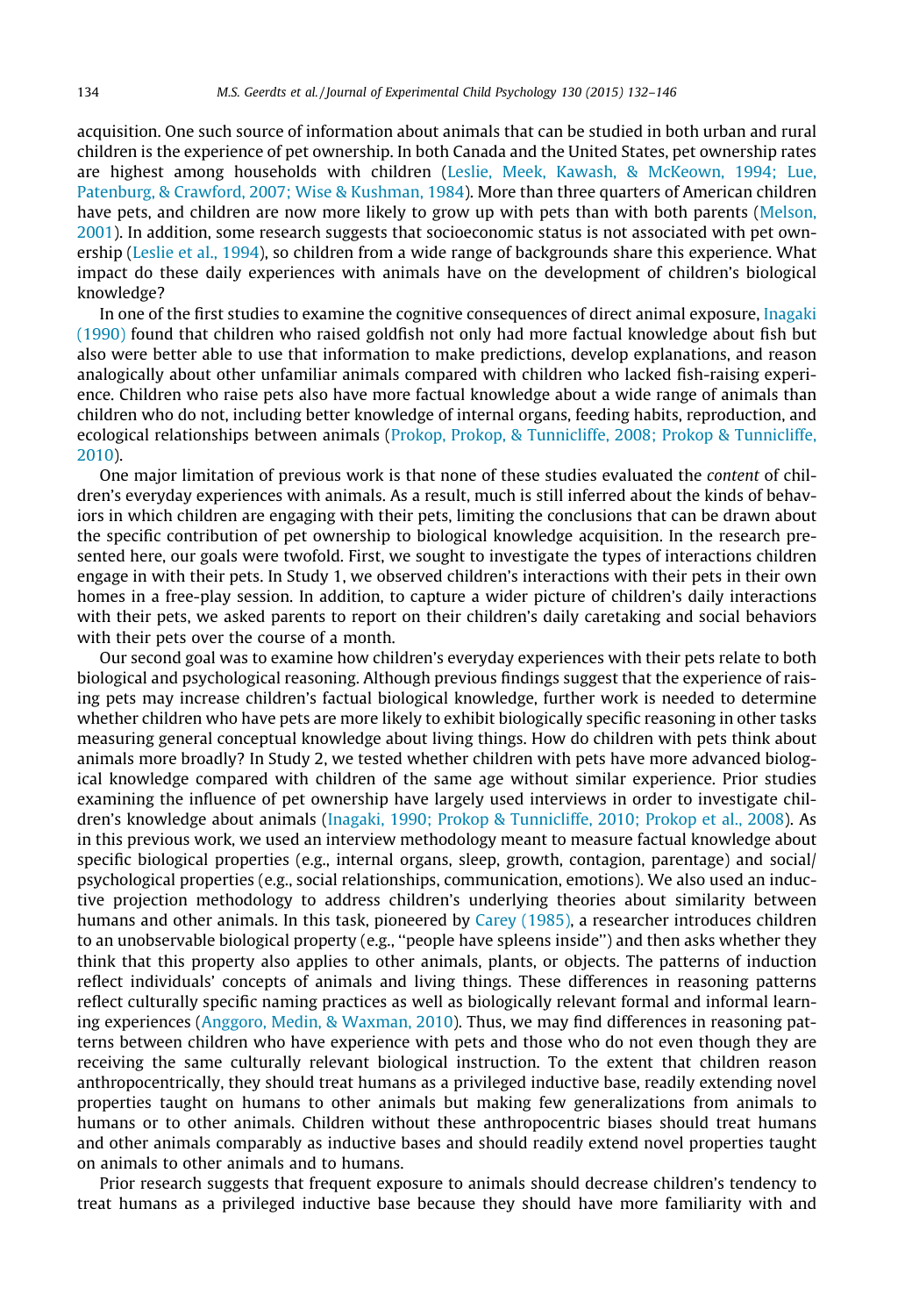acquisition. One such source of information about animals that can be studied in both urban and rural children is the experience of pet ownership. In both Canada and the United States, pet ownership rates are highest among households with children [\(Leslie, Meek, Kawash, & McKeown, 1994; Lue,](#page-14-0) [Patenburg, & Crawford, 2007; Wise & Kushman, 1984](#page-14-0)). More than three quarters of American children have pets, and children are now more likely to grow up with pets than with both parents ([Melson,](#page-14-0) [2001\)](#page-14-0). In addition, some research suggests that socioeconomic status is not associated with pet ownership ([Leslie et al., 1994\)](#page-14-0), so children from a wide range of backgrounds share this experience. What impact do these daily experiences with animals have on the development of children's biological knowledge?

In one of the first studies to examine the cognitive consequences of direct animal exposure, [Inagaki](#page-14-0) [\(1990\)](#page-14-0) found that children who raised goldfish not only had more factual knowledge about fish but also were better able to use that information to make predictions, develop explanations, and reason analogically about other unfamiliar animals compared with children who lacked fish-raising experience. Children who raise pets also have more factual knowledge about a wide range of animals than children who do not, including better knowledge of internal organs, feeding habits, reproduction, and ecological relationships between animals [\(Prokop, Prokop, & Tunnicliffe, 2008; Prokop & Tunnicliffe,](#page-14-0) [2010\)](#page-14-0).

One major limitation of previous work is that none of these studies evaluated the content of children's everyday experiences with animals. As a result, much is still inferred about the kinds of behaviors in which children are engaging with their pets, limiting the conclusions that can be drawn about the specific contribution of pet ownership to biological knowledge acquisition. In the research presented here, our goals were twofold. First, we sought to investigate the types of interactions children engage in with their pets. In Study 1, we observed children's interactions with their pets in their own homes in a free-play session. In addition, to capture a wider picture of children's daily interactions with their pets, we asked parents to report on their children's daily caretaking and social behaviors with their pets over the course of a month.

Our second goal was to examine how children's everyday experiences with their pets relate to both biological and psychological reasoning. Although previous findings suggest that the experience of raising pets may increase children's factual biological knowledge, further work is needed to determine whether children who have pets are more likely to exhibit biologically specific reasoning in other tasks measuring general conceptual knowledge about living things. How do children with pets think about animals more broadly? In Study 2, we tested whether children with pets have more advanced biological knowledge compared with children of the same age without similar experience. Prior studies examining the influence of pet ownership have largely used interviews in order to investigate children's knowledge about animals ([Inagaki, 1990; Prokop & Tunnicliffe, 2010; Prokop et al., 2008\)](#page-14-0). As in this previous work, we used an interview methodology meant to measure factual knowledge about specific biological properties (e.g., internal organs, sleep, growth, contagion, parentage) and social/ psychological properties (e.g., social relationships, communication, emotions). We also used an inductive projection methodology to address children's underlying theories about similarity between humans and other animals. In this task, pioneered by [Carey \(1985\),](#page-14-0) a researcher introduces children to an unobservable biological property (e.g., ''people have spleens inside'') and then asks whether they think that this property also applies to other animals, plants, or objects. The patterns of induction reflect individuals' concepts of animals and living things. These differences in reasoning patterns reflect culturally specific naming practices as well as biologically relevant formal and informal learning experiences [\(Anggoro, Medin, & Waxman, 2010](#page-13-0)). Thus, we may find differences in reasoning patterns between children who have experience with pets and those who do not even though they are receiving the same culturally relevant biological instruction. To the extent that children reason anthropocentrically, they should treat humans as a privileged inductive base, readily extending novel properties taught on humans to other animals but making few generalizations from animals to humans or to other animals. Children without these anthropocentric biases should treat humans and other animals comparably as inductive bases and should readily extend novel properties taught on animals to other animals and to humans.

Prior research suggests that frequent exposure to animals should decrease children's tendency to treat humans as a privileged inductive base because they should have more familiarity with and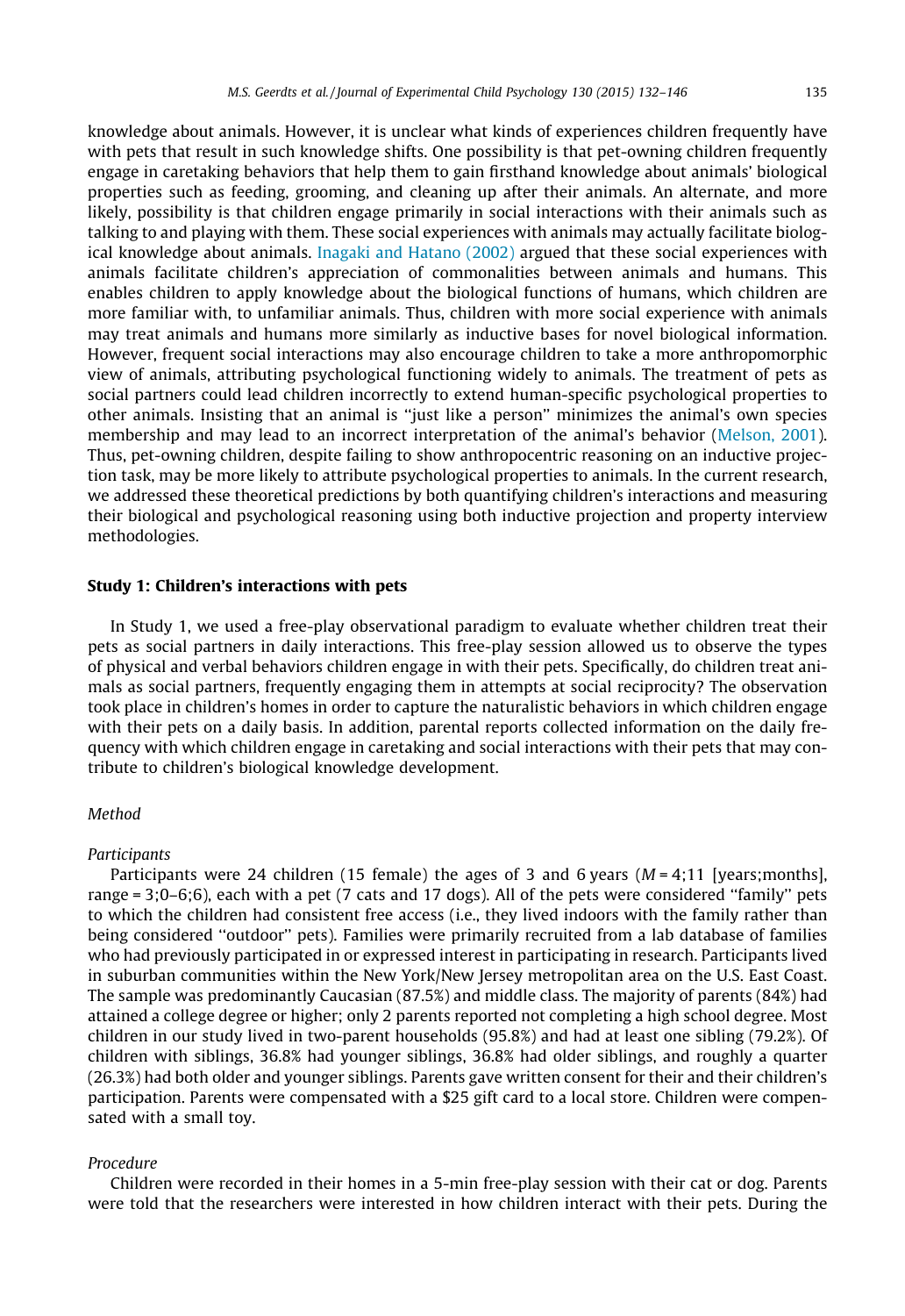knowledge about animals. However, it is unclear what kinds of experiences children frequently have with pets that result in such knowledge shifts. One possibility is that pet-owning children frequently engage in caretaking behaviors that help them to gain firsthand knowledge about animals' biological properties such as feeding, grooming, and cleaning up after their animals. An alternate, and more likely, possibility is that children engage primarily in social interactions with their animals such as talking to and playing with them. These social experiences with animals may actually facilitate biological knowledge about animals. [Inagaki and Hatano \(2002\)](#page-14-0) argued that these social experiences with animals facilitate children's appreciation of commonalities between animals and humans. This enables children to apply knowledge about the biological functions of humans, which children are more familiar with, to unfamiliar animals. Thus, children with more social experience with animals may treat animals and humans more similarly as inductive bases for novel biological information. However, frequent social interactions may also encourage children to take a more anthropomorphic view of animals, attributing psychological functioning widely to animals. The treatment of pets as social partners could lead children incorrectly to extend human-specific psychological properties to other animals. Insisting that an animal is ''just like a person'' minimizes the animal's own species membership and may lead to an incorrect interpretation of the animal's behavior [\(Melson, 2001\)](#page-14-0). Thus, pet-owning children, despite failing to show anthropocentric reasoning on an inductive projection task, may be more likely to attribute psychological properties to animals. In the current research, we addressed these theoretical predictions by both quantifying children's interactions and measuring their biological and psychological reasoning using both inductive projection and property interview methodologies.

### Study 1: Children's interactions with pets

In Study 1, we used a free-play observational paradigm to evaluate whether children treat their pets as social partners in daily interactions. This free-play session allowed us to observe the types of physical and verbal behaviors children engage in with their pets. Specifically, do children treat animals as social partners, frequently engaging them in attempts at social reciprocity? The observation took place in children's homes in order to capture the naturalistic behaviors in which children engage with their pets on a daily basis. In addition, parental reports collected information on the daily frequency with which children engage in caretaking and social interactions with their pets that may contribute to children's biological knowledge development.

## Method

#### **Participants**

Participants were 24 children (15 female) the ages of 3 and 6 years ( $M = 4;11$  [years;months], range = 3;0–6;6), each with a pet (7 cats and 17 dogs). All of the pets were considered ''family'' pets to which the children had consistent free access (i.e., they lived indoors with the family rather than being considered ''outdoor'' pets). Families were primarily recruited from a lab database of families who had previously participated in or expressed interest in participating in research. Participants lived in suburban communities within the New York/New Jersey metropolitan area on the U.S. East Coast. The sample was predominantly Caucasian (87.5%) and middle class. The majority of parents (84%) had attained a college degree or higher; only 2 parents reported not completing a high school degree. Most children in our study lived in two-parent households (95.8%) and had at least one sibling (79.2%). Of children with siblings, 36.8% had younger siblings, 36.8% had older siblings, and roughly a quarter (26.3%) had both older and younger siblings. Parents gave written consent for their and their children's participation. Parents were compensated with a \$25 gift card to a local store. Children were compensated with a small toy.

### Procedure

Children were recorded in their homes in a 5-min free-play session with their cat or dog. Parents were told that the researchers were interested in how children interact with their pets. During the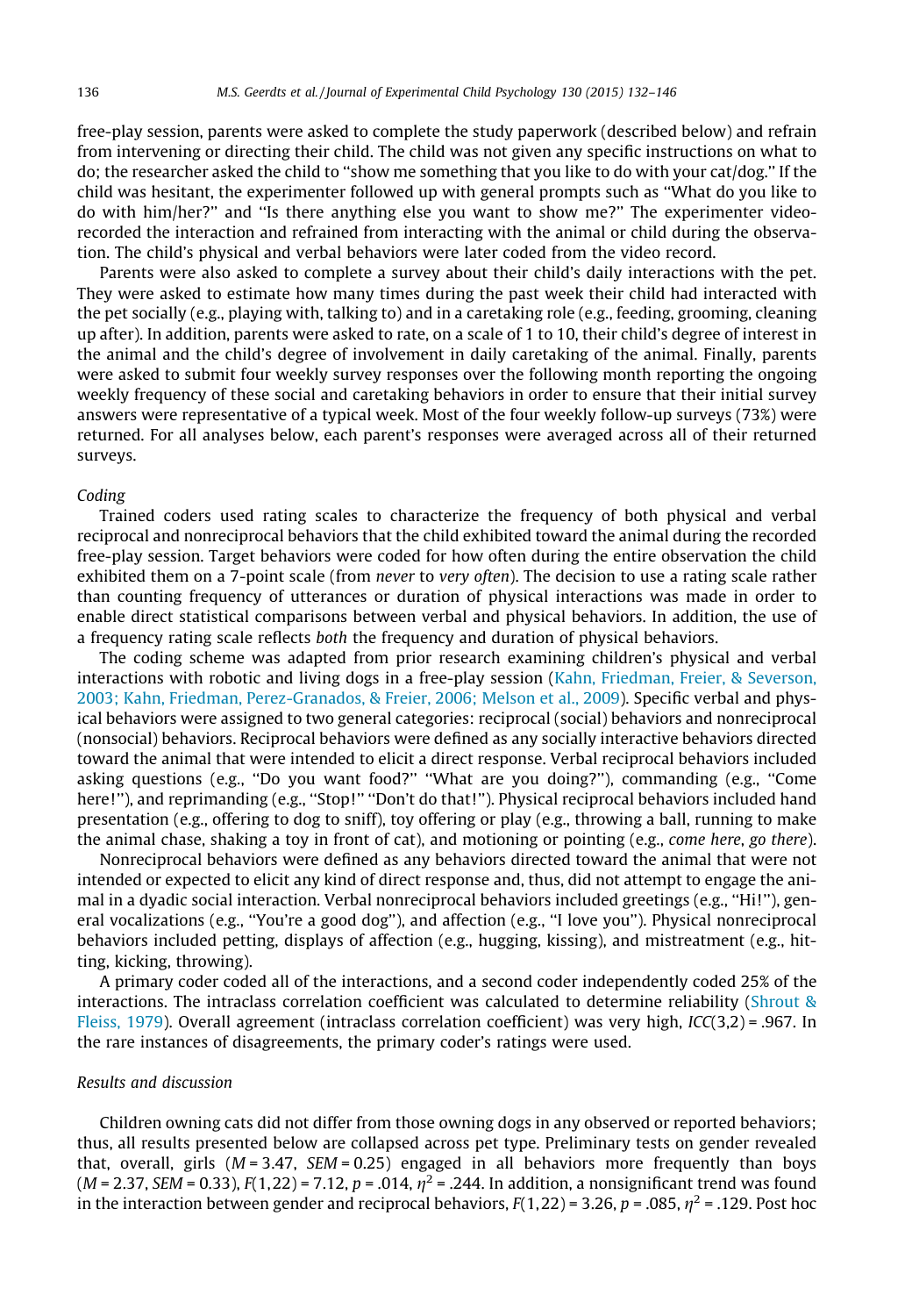free-play session, parents were asked to complete the study paperwork (described below) and refrain from intervening or directing their child. The child was not given any specific instructions on what to do; the researcher asked the child to ''show me something that you like to do with your cat/dog.'' If the child was hesitant, the experimenter followed up with general prompts such as ''What do you like to do with him/her?'' and ''Is there anything else you want to show me?'' The experimenter videorecorded the interaction and refrained from interacting with the animal or child during the observation. The child's physical and verbal behaviors were later coded from the video record.

Parents were also asked to complete a survey about their child's daily interactions with the pet. They were asked to estimate how many times during the past week their child had interacted with the pet socially (e.g., playing with, talking to) and in a caretaking role (e.g., feeding, grooming, cleaning up after). In addition, parents were asked to rate, on a scale of 1 to 10, their child's degree of interest in the animal and the child's degree of involvement in daily caretaking of the animal. Finally, parents were asked to submit four weekly survey responses over the following month reporting the ongoing weekly frequency of these social and caretaking behaviors in order to ensure that their initial survey answers were representative of a typical week. Most of the four weekly follow-up surveys (73%) were returned. For all analyses below, each parent's responses were averaged across all of their returned surveys.

#### Coding

Trained coders used rating scales to characterize the frequency of both physical and verbal reciprocal and nonreciprocal behaviors that the child exhibited toward the animal during the recorded free-play session. Target behaviors were coded for how often during the entire observation the child exhibited them on a 7-point scale (from never to very often). The decision to use a rating scale rather than counting frequency of utterances or duration of physical interactions was made in order to enable direct statistical comparisons between verbal and physical behaviors. In addition, the use of a frequency rating scale reflects both the frequency and duration of physical behaviors.

The coding scheme was adapted from prior research examining children's physical and verbal interactions with robotic and living dogs in a free-play session ([Kahn, Friedman, Freier, & Severson,](#page-14-0) [2003; Kahn, Friedman, Perez-Granados, & Freier, 2006; Melson et al., 2009\)](#page-14-0). Specific verbal and physical behaviors were assigned to two general categories: reciprocal (social) behaviors and nonreciprocal (nonsocial) behaviors. Reciprocal behaviors were defined as any socially interactive behaviors directed toward the animal that were intended to elicit a direct response. Verbal reciprocal behaviors included asking questions (e.g., ''Do you want food?'' ''What are you doing?''), commanding (e.g., ''Come here!"), and reprimanding (e.g., "Stop!" "Don't do that!"). Physical reciprocal behaviors included hand presentation (e.g., offering to dog to sniff), toy offering or play (e.g., throwing a ball, running to make the animal chase, shaking a toy in front of cat), and motioning or pointing (e.g., come here, go there).

Nonreciprocal behaviors were defined as any behaviors directed toward the animal that were not intended or expected to elicit any kind of direct response and, thus, did not attempt to engage the animal in a dyadic social interaction. Verbal nonreciprocal behaviors included greetings (e.g., ''Hi!''), general vocalizations (e.g., ''You're a good dog''), and affection (e.g., ''I love you''). Physical nonreciprocal behaviors included petting, displays of affection (e.g., hugging, kissing), and mistreatment (e.g., hitting, kicking, throwing).

A primary coder coded all of the interactions, and a second coder independently coded 25% of the interactions. The intraclass correlation coefficient was calculated to determine reliability [\(Shrout &](#page-14-0) [Fleiss, 1979](#page-14-0)). Overall agreement (intraclass correlation coefficient) was very high,  $ICC(3,2) = .967$ . In the rare instances of disagreements, the primary coder's ratings were used.

#### Results and discussion

Children owning cats did not differ from those owning dogs in any observed or reported behaviors; thus, all results presented below are collapsed across pet type. Preliminary tests on gender revealed that, overall, girls  $(M = 3.47, SEM = 0.25)$  engaged in all behaviors more frequently than boys  $(M = 2.37, SEM = 0.33), F(1,22) = 7.12, p = .014, \eta^2 = .244.$  In addition, a nonsignificant trend was found in the interaction between gender and reciprocal behaviors,  $F(1,22) = 3.26$ ,  $p = .085$ ,  $\eta^2 = .129$ . Post hoc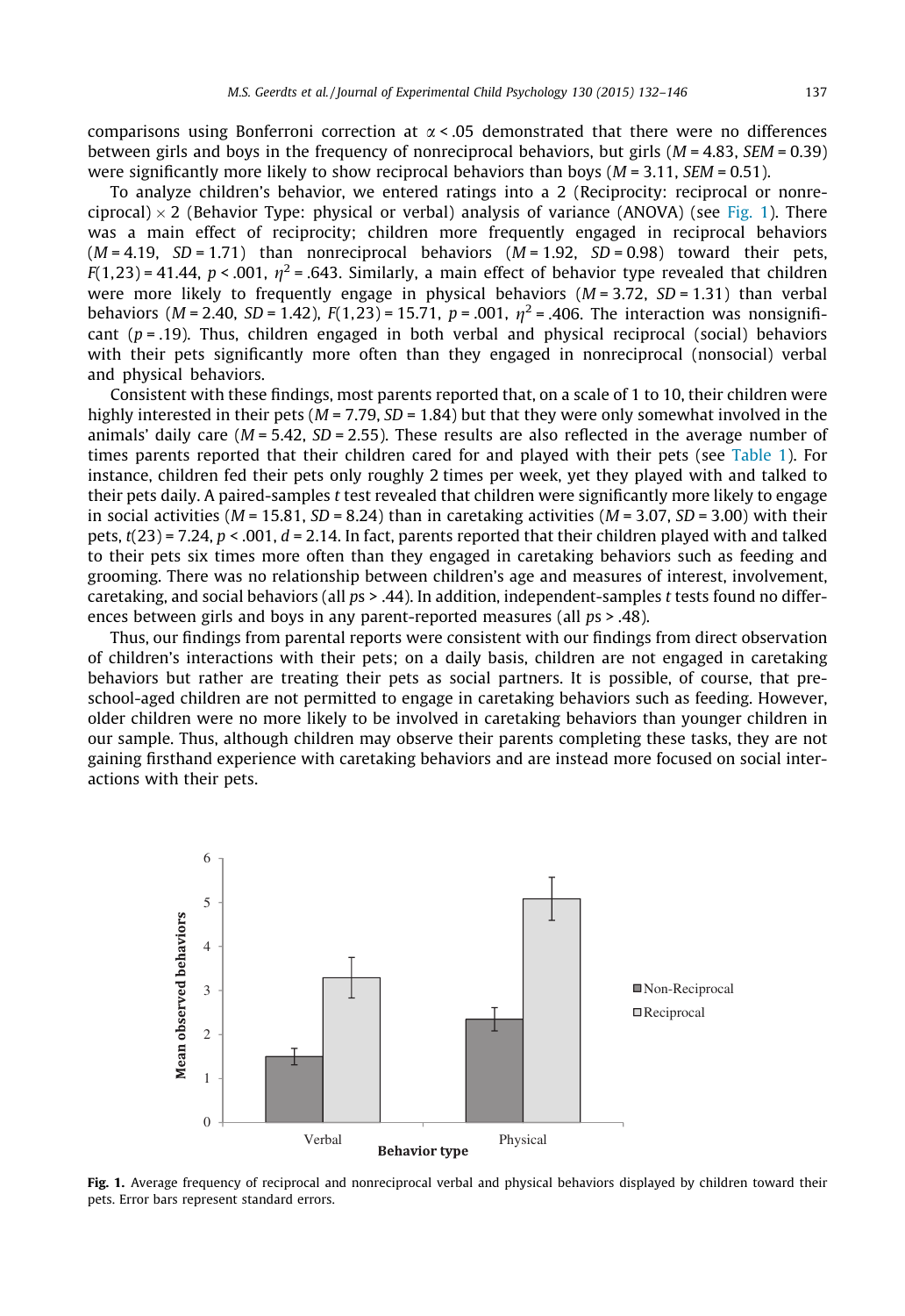comparisons using Bonferroni correction at  $\alpha$  < .05 demonstrated that there were no differences between girls and boys in the frequency of nonreciprocal behaviors, but girls ( $M = 4.83$ ,  $SEM = 0.39$ ) were significantly more likely to show reciprocal behaviors than boys ( $M = 3.11$ ,  $SEM = 0.51$ ).

To analyze children's behavior, we entered ratings into a 2 (Reciprocity: reciprocal or nonreciprocal)  $\times$  2 (Behavior Type: physical or verbal) analysis of variance (ANOVA) (see Fig. 1). There was a main effect of reciprocity; children more frequently engaged in reciprocal behaviors  $(M = 4.19, SD = 1.71)$  than nonreciprocal behaviors  $(M = 1.92, SD = 0.98)$  toward their pets,  $F(1,23) = 41.44$ ,  $p < .001$ ,  $\eta^2 = .643$ . Similarly, a main effect of behavior type revealed that children were more likely to frequently engage in physical behaviors  $(M = 3.72, SD = 1.31)$  than verbal behaviors ( $M = 2.40$ ,  $SD = 1.42$ ),  $F(1,23) = 15.71$ ,  $p = .001$ ,  $\eta^2 = .406$ . The interaction was nonsignificant  $(p = .19)$ . Thus, children engaged in both verbal and physical reciprocal (social) behaviors with their pets significantly more often than they engaged in nonreciprocal (nonsocial) verbal and physical behaviors.

Consistent with these findings, most parents reported that, on a scale of 1 to 10, their children were highly interested in their pets ( $M = 7.79$ ,  $SD = 1.84$ ) but that they were only somewhat involved in the animals' daily care ( $M = 5.42$ ,  $SD = 2.55$ ). These results are also reflected in the average number of times parents reported that their children cared for and played with their pets (see [Table 1](#page-6-0)). For instance, children fed their pets only roughly 2 times per week, yet they played with and talked to their pets daily. A paired-samples t test revealed that children were significantly more likely to engage in social activities ( $M = 15.81$ ,  $SD = 8.24$ ) than in caretaking activities ( $M = 3.07$ ,  $SD = 3.00$ ) with their pets,  $t(23) = 7.24$ ,  $p < .001$ ,  $d = 2.14$ . In fact, parents reported that their children played with and talked to their pets six times more often than they engaged in caretaking behaviors such as feeding and grooming. There was no relationship between children's age and measures of interest, involvement, caretaking, and social behaviors (all  $ps > .44$ ). In addition, independent-samples t tests found no differences between girls and boys in any parent-reported measures (all ps > .48).

Thus, our findings from parental reports were consistent with our findings from direct observation of children's interactions with their pets; on a daily basis, children are not engaged in caretaking behaviors but rather are treating their pets as social partners. It is possible, of course, that preschool-aged children are not permitted to engage in caretaking behaviors such as feeding. However, older children were no more likely to be involved in caretaking behaviors than younger children in our sample. Thus, although children may observe their parents completing these tasks, they are not gaining firsthand experience with caretaking behaviors and are instead more focused on social interactions with their pets.



Fig. 1. Average frequency of reciprocal and nonreciprocal verbal and physical behaviors displayed by children toward their pets. Error bars represent standard errors.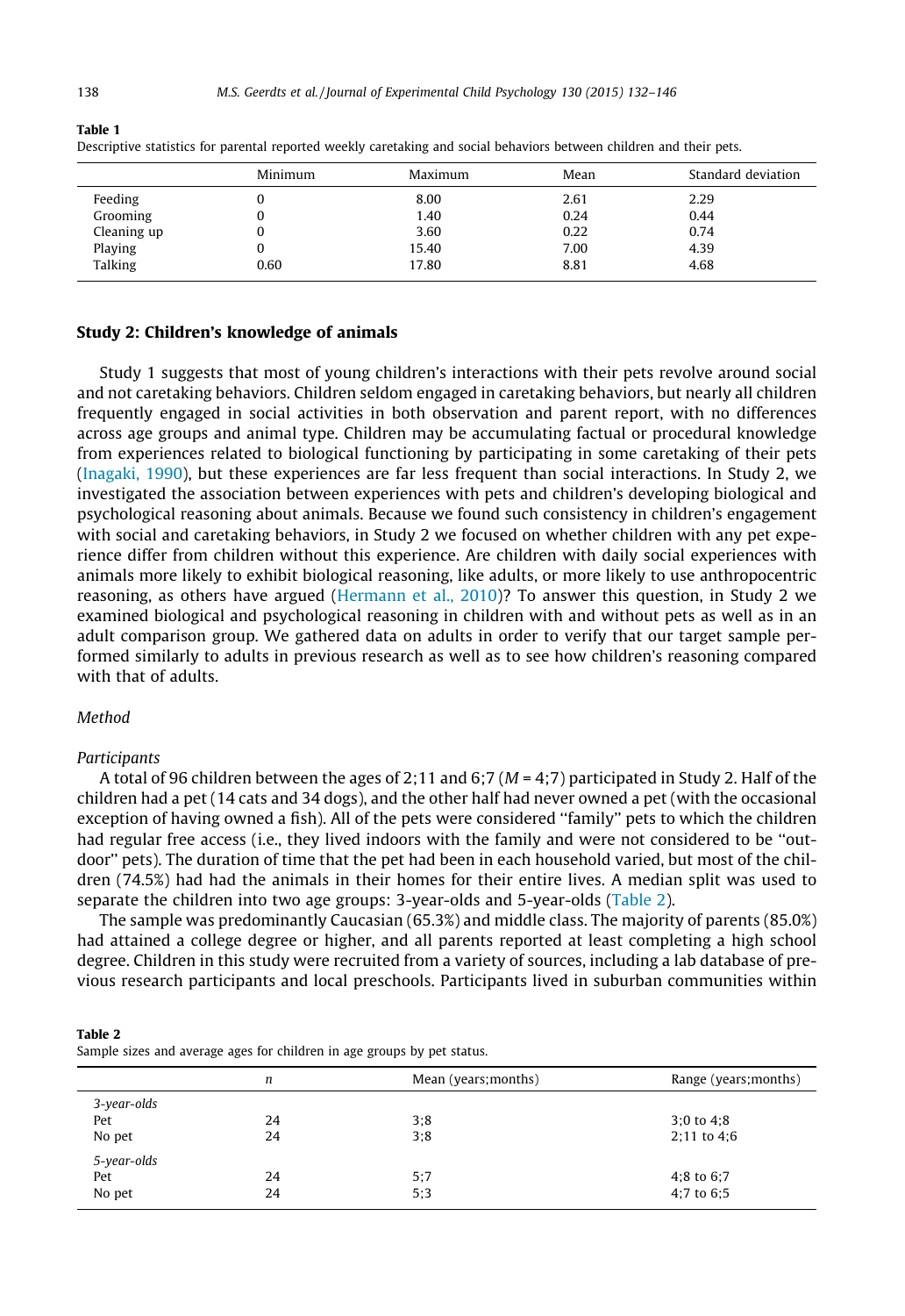|             | Minimum | Maximum | Mean | Standard deviation |
|-------------|---------|---------|------|--------------------|
| Feeding     |         | 8.00    | 2.61 | 2.29               |
| Grooming    | 0       | 1.40    | 0.24 | 0.44               |
| Cleaning up | 0       | 3.60    | 0.22 | 0.74               |
| Playing     |         | 15.40   | 7.00 | 4.39               |
| Talking     | 0.60    | 17.80   | 8.81 | 4.68               |

Descriptive statistics for parental reported weekly caretaking and social behaviors between children and their pets.

## Study 2: Children's knowledge of animals

Study 1 suggests that most of young children's interactions with their pets revolve around social and not caretaking behaviors. Children seldom engaged in caretaking behaviors, but nearly all children frequently engaged in social activities in both observation and parent report, with no differences across age groups and animal type. Children may be accumulating factual or procedural knowledge from experiences related to biological functioning by participating in some caretaking of their pets ([Inagaki, 1990](#page-14-0)), but these experiences are far less frequent than social interactions. In Study 2, we investigated the association between experiences with pets and children's developing biological and psychological reasoning about animals. Because we found such consistency in children's engagement with social and caretaking behaviors, in Study 2 we focused on whether children with any pet experience differ from children without this experience. Are children with daily social experiences with animals more likely to exhibit biological reasoning, like adults, or more likely to use anthropocentric reasoning, as others have argued ([Hermann et al., 2010](#page-14-0))? To answer this question, in Study 2 we examined biological and psychological reasoning in children with and without pets as well as in an adult comparison group. We gathered data on adults in order to verify that our target sample performed similarly to adults in previous research as well as to see how children's reasoning compared with that of adults.

#### Method

#### **Participants**

A total of 96 children between the ages of 2;11 and 6;7 ( $M = 4$ ;7) participated in Study 2. Half of the children had a pet (14 cats and 34 dogs), and the other half had never owned a pet (with the occasional exception of having owned a fish). All of the pets were considered ''family'' pets to which the children had regular free access (i.e., they lived indoors with the family and were not considered to be "outdoor'' pets). The duration of time that the pet had been in each household varied, but most of the children (74.5%) had had the animals in their homes for their entire lives. A median split was used to separate the children into two age groups: 3-year-olds and 5-year-olds (Table 2).

The sample was predominantly Caucasian (65.3%) and middle class. The majority of parents (85.0%) had attained a college degree or higher, and all parents reported at least completing a high school degree. Children in this study were recruited from a variety of sources, including a lab database of previous research participants and local preschools. Participants lived in suburban communities within

#### Table 2

Sample sizes and average ages for children in age groups by pet status.

|             | n  | Mean (years; months) | Range (years; months) |
|-------------|----|----------------------|-----------------------|
| 3-year-olds |    |                      |                       |
| Pet         | 24 | 3:8                  | $3:0$ to $4:8$        |
| No pet      | 24 | 3:8                  | $2:11$ to 4:6         |
| 5-year-olds |    |                      |                       |
| Pet         | 24 | 5:7                  | 4;8 to $6;7$          |
| No pet      | 24 | 5:3                  | $4:7$ to 6:5          |

<span id="page-6-0"></span>Table 1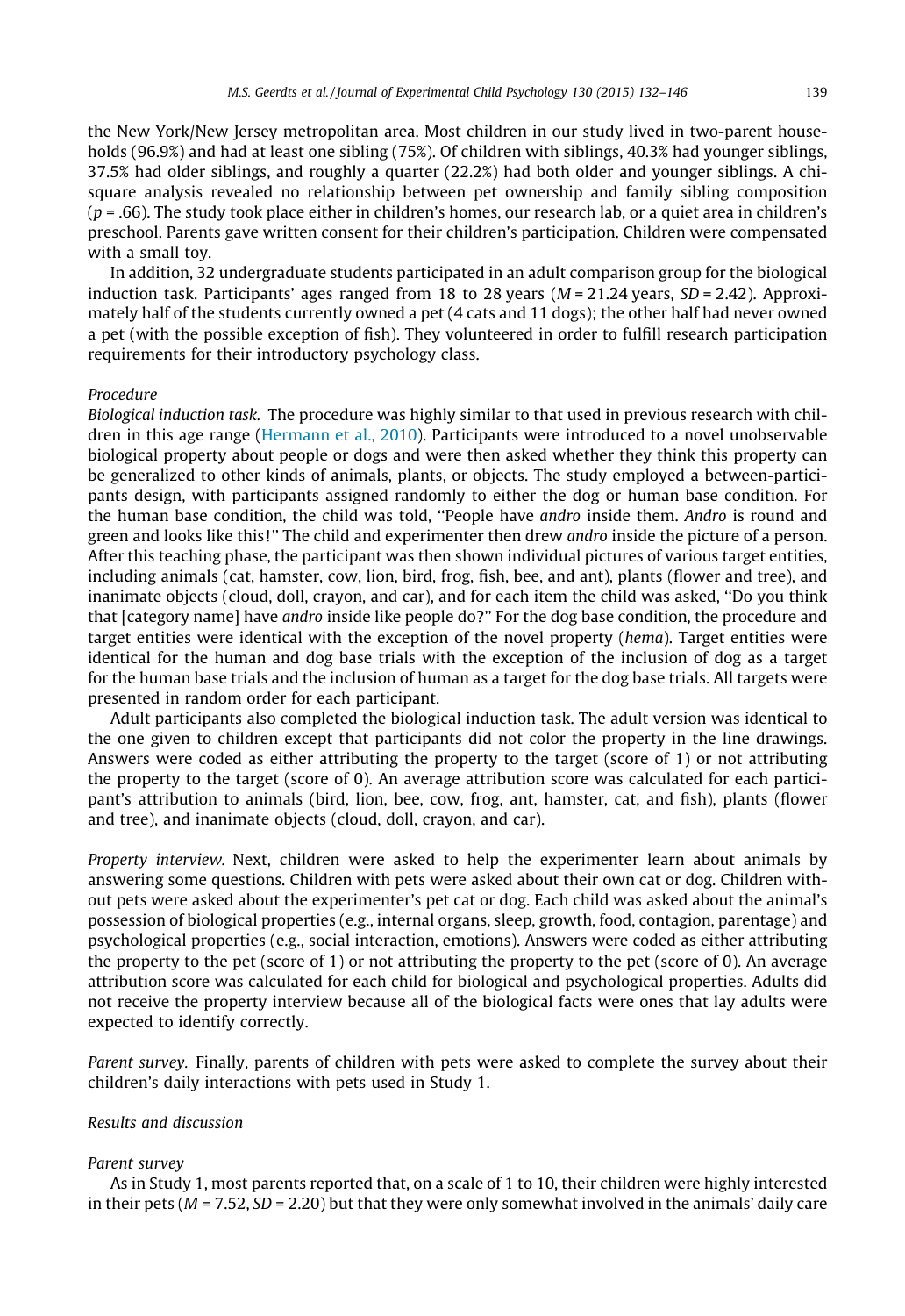the New York/New Jersey metropolitan area. Most children in our study lived in two-parent households (96.9%) and had at least one sibling (75%). Of children with siblings, 40.3% had younger siblings, 37.5% had older siblings, and roughly a quarter (22.2%) had both older and younger siblings. A chisquare analysis revealed no relationship between pet ownership and family sibling composition  $(p = .66)$ . The study took place either in children's homes, our research lab, or a quiet area in children's preschool. Parents gave written consent for their children's participation. Children were compensated with a small toy.

In addition, 32 undergraduate students participated in an adult comparison group for the biological induction task. Participants' ages ranged from 18 to 28 years  $(M = 21.24$  years,  $SD = 2.42$ ). Approximately half of the students currently owned a pet (4 cats and 11 dogs); the other half had never owned a pet (with the possible exception of fish). They volunteered in order to fulfill research participation requirements for their introductory psychology class.

### Procedure

Biological induction task. The procedure was highly similar to that used in previous research with children in this age range [\(Hermann et al., 2010\)](#page-14-0). Participants were introduced to a novel unobservable biological property about people or dogs and were then asked whether they think this property can be generalized to other kinds of animals, plants, or objects. The study employed a between-participants design, with participants assigned randomly to either the dog or human base condition. For the human base condition, the child was told, ''People have andro inside them. Andro is round and green and looks like this!'' The child and experimenter then drew andro inside the picture of a person. After this teaching phase, the participant was then shown individual pictures of various target entities, including animals (cat, hamster, cow, lion, bird, frog, fish, bee, and ant), plants (flower and tree), and inanimate objects (cloud, doll, crayon, and car), and for each item the child was asked, ''Do you think that [category name] have andro inside like people do?'' For the dog base condition, the procedure and target entities were identical with the exception of the novel property (hema). Target entities were identical for the human and dog base trials with the exception of the inclusion of dog as a target for the human base trials and the inclusion of human as a target for the dog base trials. All targets were presented in random order for each participant.

Adult participants also completed the biological induction task. The adult version was identical to the one given to children except that participants did not color the property in the line drawings. Answers were coded as either attributing the property to the target (score of 1) or not attributing the property to the target (score of 0). An average attribution score was calculated for each participant's attribution to animals (bird, lion, bee, cow, frog, ant, hamster, cat, and fish), plants (flower and tree), and inanimate objects (cloud, doll, crayon, and car).

Property interview. Next, children were asked to help the experimenter learn about animals by answering some questions. Children with pets were asked about their own cat or dog. Children without pets were asked about the experimenter's pet cat or dog. Each child was asked about the animal's possession of biological properties (e.g., internal organs, sleep, growth, food, contagion, parentage) and psychological properties (e.g., social interaction, emotions). Answers were coded as either attributing the property to the pet (score of 1) or not attributing the property to the pet (score of 0). An average attribution score was calculated for each child for biological and psychological properties. Adults did not receive the property interview because all of the biological facts were ones that lay adults were expected to identify correctly.

Parent survey. Finally, parents of children with pets were asked to complete the survey about their children's daily interactions with pets used in Study 1.

## Results and discussion

#### Parent survey

As in Study 1, most parents reported that, on a scale of 1 to 10, their children were highly interested in their pets ( $M = 7.52$ ,  $SD = 2.20$ ) but that they were only somewhat involved in the animals' daily care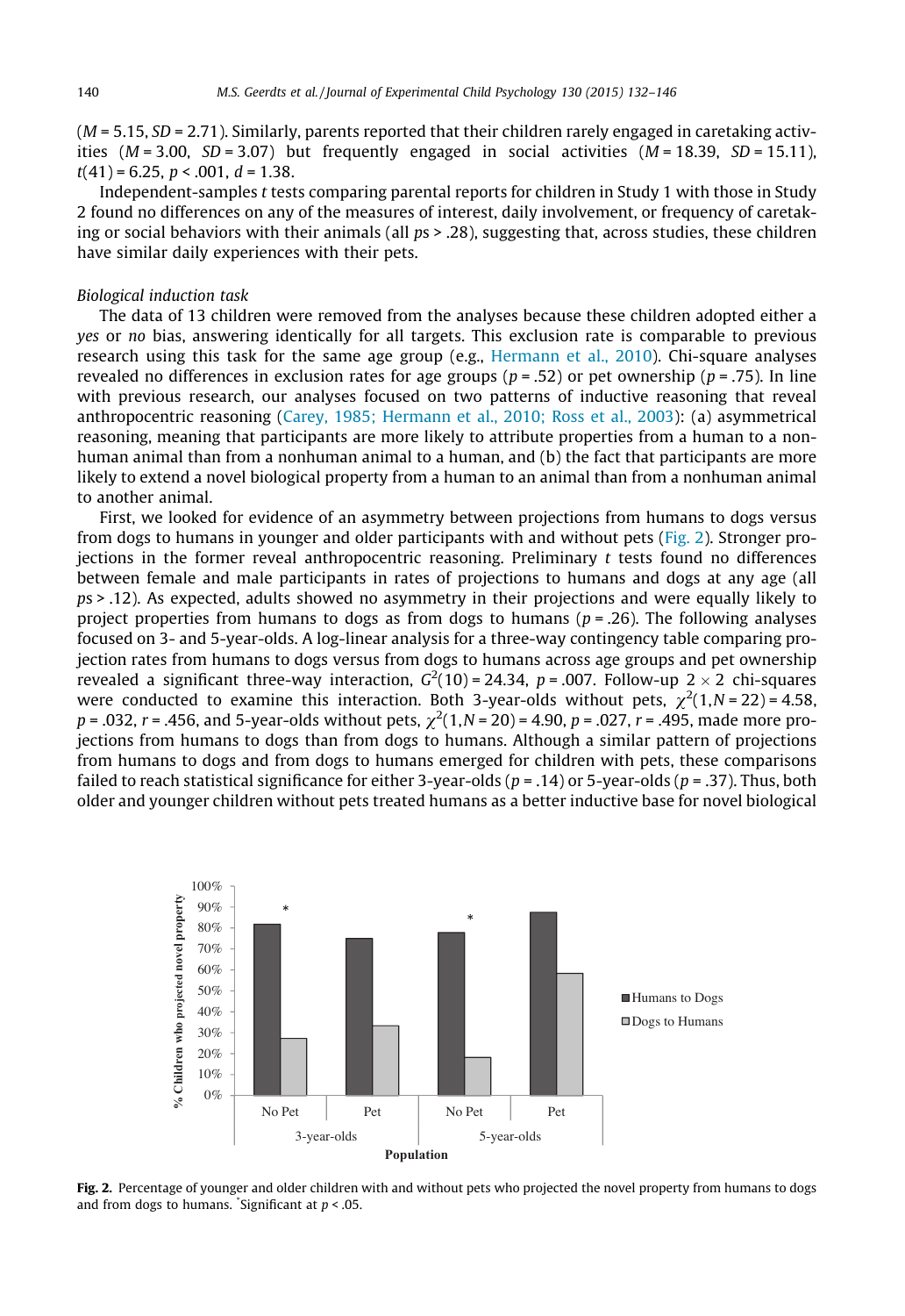$(M = 5.15, SD = 2.71)$ . Similarly, parents reported that their children rarely engaged in caretaking activities  $(M = 3.00, SD = 3.07)$  but frequently engaged in social activities  $(M = 18.39, SD = 15.11)$ ,  $t(41) = 6.25$ ,  $p < .001$ ,  $d = 1.38$ .

Independent-samples t tests comparing parental reports for children in Study 1 with those in Study 2 found no differences on any of the measures of interest, daily involvement, or frequency of caretaking or social behaviors with their animals (all  $ps > .28$ ), suggesting that, across studies, these children have similar daily experiences with their pets.

#### Biological induction task

The data of 13 children were removed from the analyses because these children adopted either a yes or no bias, answering identically for all targets. This exclusion rate is comparable to previous research using this task for the same age group (e.g., [Hermann et al., 2010](#page-14-0)). Chi-square analyses revealed no differences in exclusion rates for age groups ( $p = .52$ ) or pet ownership ( $p = .75$ ). In line with previous research, our analyses focused on two patterns of inductive reasoning that reveal anthropocentric reasoning [\(Carey, 1985; Hermann et al., 2010; Ross et al., 2003\)](#page-14-0): (a) asymmetrical reasoning, meaning that participants are more likely to attribute properties from a human to a nonhuman animal than from a nonhuman animal to a human, and (b) the fact that participants are more likely to extend a novel biological property from a human to an animal than from a nonhuman animal to another animal.

First, we looked for evidence of an asymmetry between projections from humans to dogs versus from dogs to humans in younger and older participants with and without pets (Fig. 2). Stronger projections in the former reveal anthropocentric reasoning. Preliminary  $t$  tests found no differences between female and male participants in rates of projections to humans and dogs at any age (all ps > .12). As expected, adults showed no asymmetry in their projections and were equally likely to project properties from humans to dogs as from dogs to humans ( $p = 0.26$ ). The following analyses focused on 3- and 5-year-olds. A log-linear analysis for a three-way contingency table comparing projection rates from humans to dogs versus from dogs to humans across age groups and pet ownership revealed a significant three-way interaction,  $G^2(10)$  = 24.34, p = .007. Follow-up 2  $\times$  2 chi-squares were conducted to examine this interaction. Both 3-year-olds without pets,  $\chi^2(1,N=22)$  = 4.58, p = .032, r = .456, and 5-year-olds without pets,  $\chi^2(1, N = 20)$  = 4.90, p = .027, r = .495, made more projections from humans to dogs than from dogs to humans. Although a similar pattern of projections from humans to dogs and from dogs to humans emerged for children with pets, these comparisons failed to reach statistical significance for either 3-year-olds ( $p = .14$ ) or 5-year-olds ( $p = .37$ ). Thus, both older and younger children without pets treated humans as a better inductive base for novel biological



Fig. 2. Percentage of younger and older children with and without pets who projected the novel property from humans to dogs and from dogs to humans. Significant at  $p < .05$ .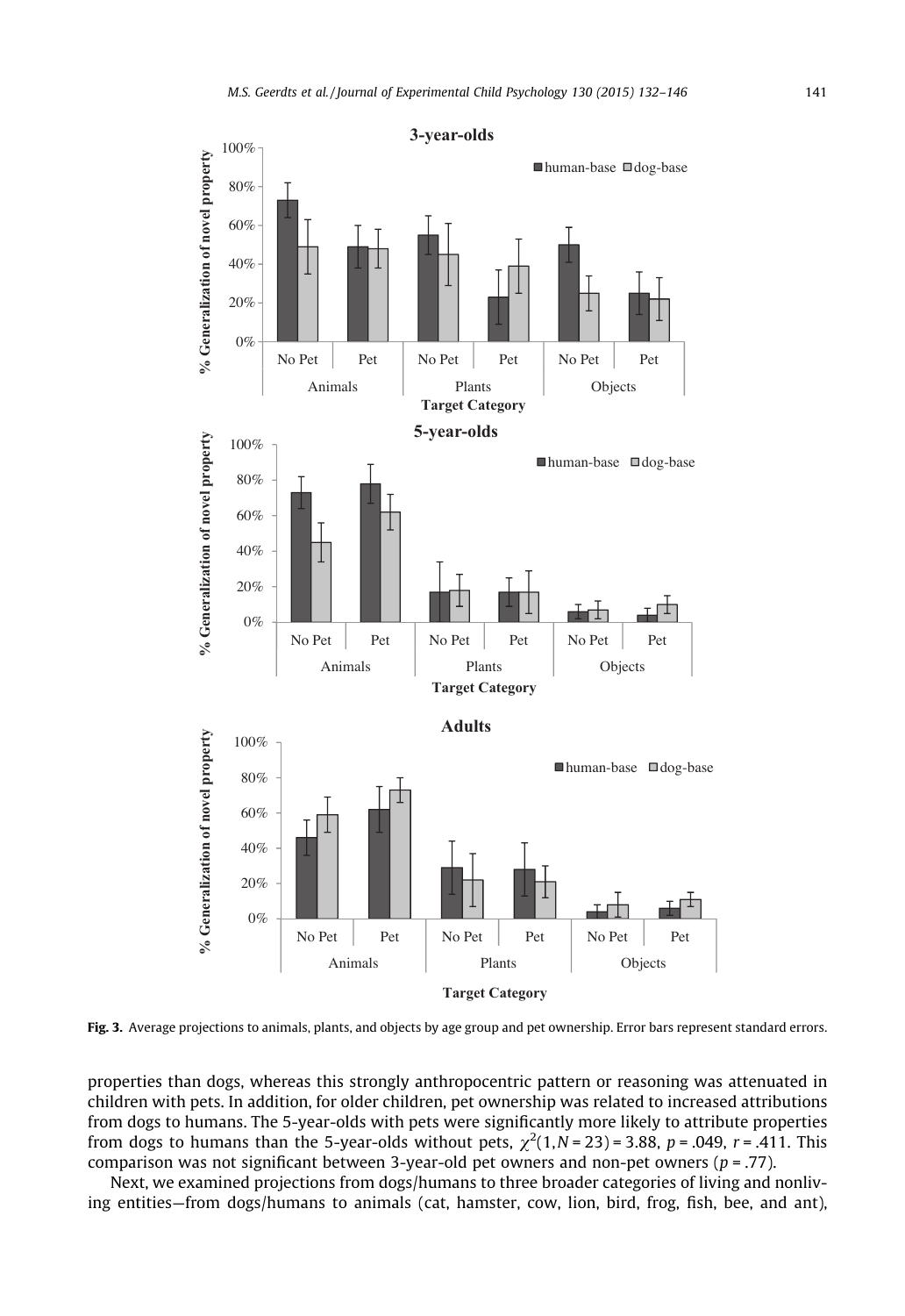<span id="page-9-0"></span>

Fig. 3. Average projections to animals, plants, and objects by age group and pet ownership. Error bars represent standard errors.

properties than dogs, whereas this strongly anthropocentric pattern or reasoning was attenuated in children with pets. In addition, for older children, pet ownership was related to increased attributions from dogs to humans. The 5-year-olds with pets were significantly more likely to attribute properties from dogs to humans than the 5-year-olds without pets,  $\chi^2(1, N = 23) = 3.88$ ,  $p = .049$ ,  $r = .411$ . This comparison was not significant between 3-year-old pet owners and non-pet owners ( $p = .77$ ).

Next, we examined projections from dogs/humans to three broader categories of living and nonliving entities—from dogs/humans to animals (cat, hamster, cow, lion, bird, frog, fish, bee, and ant),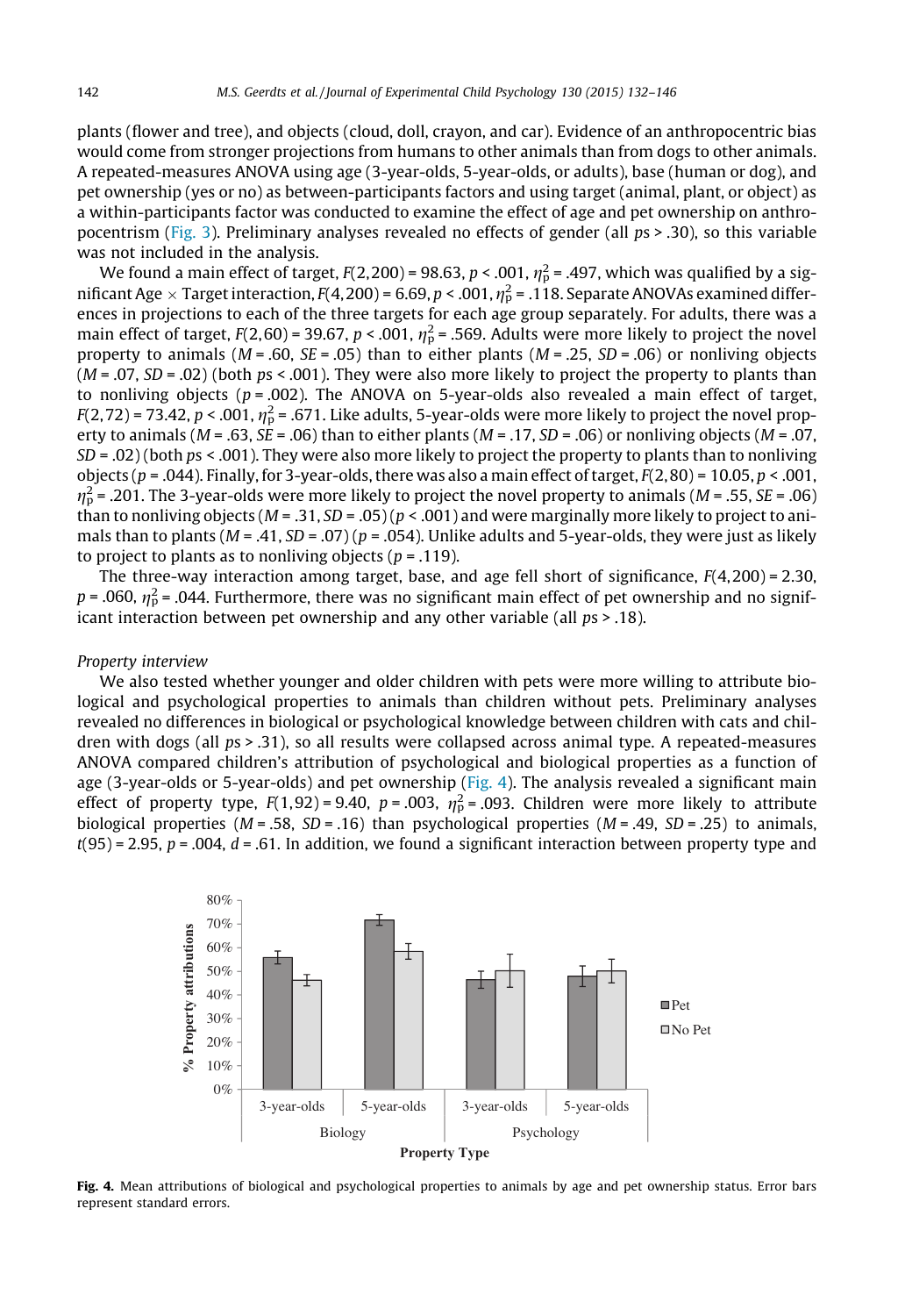plants (flower and tree), and objects (cloud, doll, crayon, and car). Evidence of an anthropocentric bias would come from stronger projections from humans to other animals than from dogs to other animals. A repeated-measures ANOVA using age (3-year-olds, 5-year-olds, or adults), base (human or dog), and pet ownership (yes or no) as between-participants factors and using target (animal, plant, or object) as a within-participants factor was conducted to examine the effect of age and pet ownership on anthropocentrism [\(Fig. 3](#page-9-0)). Preliminary analyses revealed no effects of gender (all ps > .30), so this variable was not included in the analysis.

We found a main effect of target, F(2,200) = 98.63, p < .001,  $\eta_\texttt{p}^2$  = .497, which was qualified by a significant Age  $\times$  Target interaction, F(4,200) = 6.69, p < .001,  $\eta_{\rm p}^2$  = .118. Separate ANOVAs examined differences in projections to each of the three targets for each age group separately. For adults, there was a main effect of target, F(2,60) = 39.67, p < .001,  $\eta_{\rm p}^2$  = .569. Adults were more likely to project the novel property to animals ( $M = .60$ ,  $SE = .05$ ) than to either plants ( $M = .25$ ,  $SD = .06$ ) or nonliving objects  $(M = .07, SD = .02)$  (both ps < .001). They were also more likely to project the property to plants than to nonliving objects ( $p = .002$ ). The ANOVA on 5-year-olds also revealed a main effect of target, F(2,72) = 73.42, p < .001,  $\eta_{\rm p}^2$  = .671. Like adults, 5-year-olds were more likely to project the novel property to animals ( $M = .63$ ,  $SE = .06$ ) than to either plants ( $M = .17$ ,  $SD = .06$ ) or nonliving objects ( $M = .07$ ,  $SD = .02$ ) (both ps < .001). They were also more likely to project the property to plants than to nonliving objects ( $p = .044$ ). Finally, for 3-year-olds, there was also a main effect of target,  $F(2,80) = 10.05$ ,  $p < .001$ ,  $\eta_{\rm p}^2$  = .201. The 3-year-olds were more likely to project the novel property to animals (M = .55, SE = .06) than to nonliving objects ( $M = .31$ ,  $SD = .05$ ) ( $p < .001$ ) and were marginally more likely to project to animals than to plants ( $M = .41$ ,  $SD = .07$ ) ( $p = .054$ ). Unlike adults and 5-year-olds, they were just as likely to project to plants as to nonliving objects ( $p = .119$ ).

The three-way interaction among target, base, and age fell short of significance,  $F(4,200) = 2.30$ , p = .060,  $\eta_{\rm p}^2$  = .044. Furthermore, there was no significant main effect of pet ownership and no significant interaction between pet ownership and any other variable (all ps > .18).

#### Property interview

We also tested whether younger and older children with pets were more willing to attribute biological and psychological properties to animals than children without pets. Preliminary analyses revealed no differences in biological or psychological knowledge between children with cats and children with dogs (all  $ps > .31$ ), so all results were collapsed across animal type. A repeated-measures ANOVA compared children's attribution of psychological and biological properties as a function of age (3-year-olds or 5-year-olds) and pet ownership (Fig. 4). The analysis revealed a significant main effect of property type,  $F(1,92)$  = 9.40,  $p$  = .003,  $\eta_p^2$  = .093. Children were more likely to attribute biological properties ( $M = .58$ ,  $SD = .16$ ) than psychological properties ( $M = .49$ ,  $SD = .25$ ) to animals,  $t(95) = 2.95$ ,  $p = .004$ ,  $d = .61$ . In addition, we found a significant interaction between property type and



Fig. 4. Mean attributions of biological and psychological properties to animals by age and pet ownership status. Error bars represent standard errors.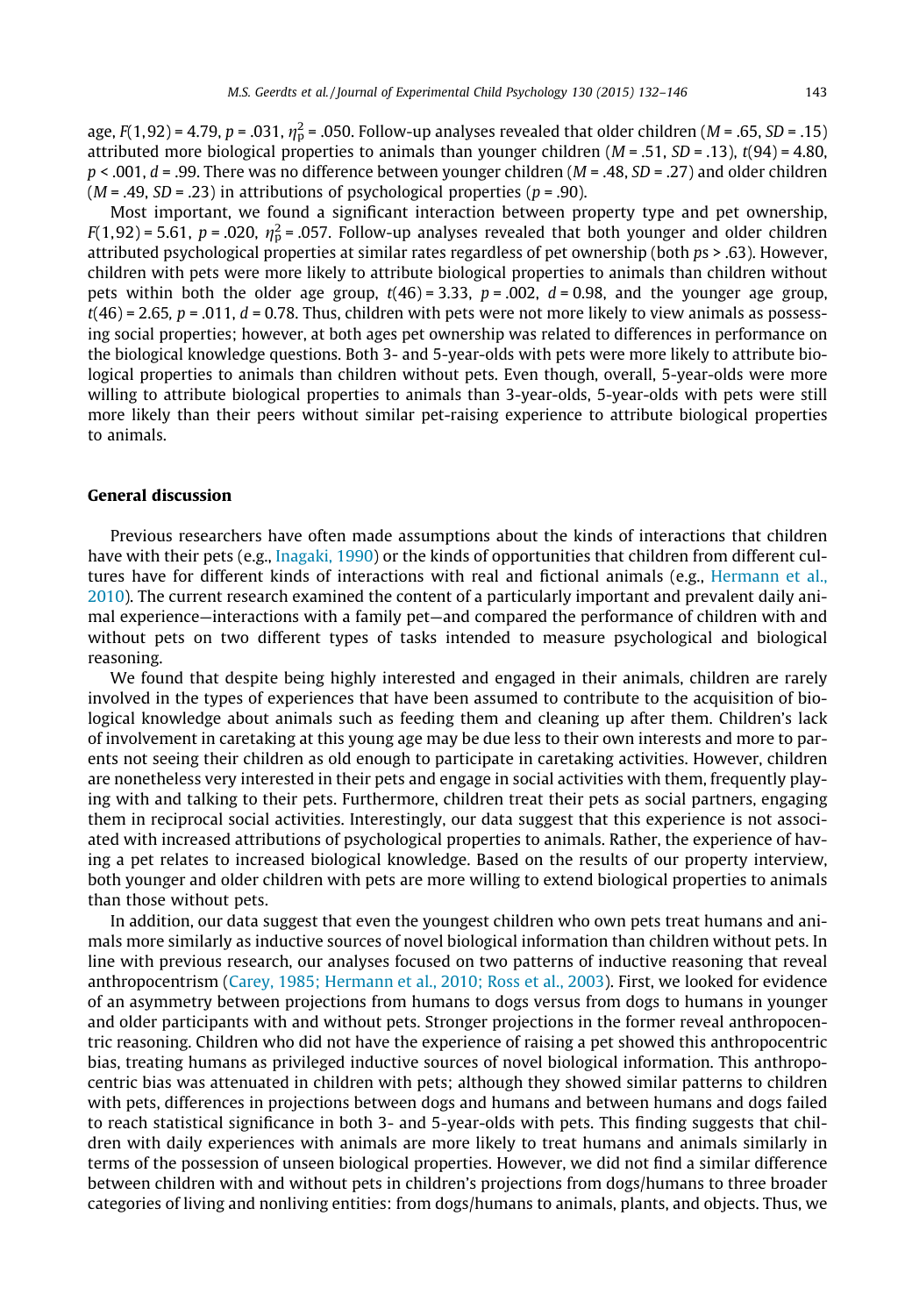age,  $F(1,92)$  = 4.79, p = .031,  $\eta_p^2$  = .050. Follow-up analyses revealed that older children (M = .65, SD = .15) attributed more biological properties to animals than younger children  $(M = .51, SD = .13)$ ,  $t(94) = 4.80$ ,  $p < .001$ ,  $d = .99$ . There was no difference between younger children ( $M = .48$ ,  $SD = .27$ ) and older children  $(M = .49, SD = .23)$  in attributions of psychological properties ( $p = .90$ ).

Most important, we found a significant interaction between property type and pet ownership,  $F(1,92)$  = 5.61, p = .020,  $\eta_p^2$  = .057. Follow-up analyses revealed that both younger and older children attributed psychological properties at similar rates regardless of pet ownership (both ps > .63). However, children with pets were more likely to attribute biological properties to animals than children without pets within both the older age group,  $t(46) = 3.33$ ,  $p = .002$ ,  $d = 0.98$ , and the younger age group,  $t(46) = 2.65$ ,  $p = .011$ ,  $d = 0.78$ . Thus, children with pets were not more likely to view animals as possessing social properties; however, at both ages pet ownership was related to differences in performance on the biological knowledge questions. Both 3- and 5-year-olds with pets were more likely to attribute biological properties to animals than children without pets. Even though, overall, 5-year-olds were more willing to attribute biological properties to animals than 3-year-olds, 5-year-olds with pets were still more likely than their peers without similar pet-raising experience to attribute biological properties to animals.

## General discussion

Previous researchers have often made assumptions about the kinds of interactions that children have with their pets (e.g., [Inagaki, 1990\)](#page-14-0) or the kinds of opportunities that children from different cultures have for different kinds of interactions with real and fictional animals (e.g., [Hermann et al.,](#page-14-0) [2010](#page-14-0)). The current research examined the content of a particularly important and prevalent daily animal experience—interactions with a family pet—and compared the performance of children with and without pets on two different types of tasks intended to measure psychological and biological reasoning.

We found that despite being highly interested and engaged in their animals, children are rarely involved in the types of experiences that have been assumed to contribute to the acquisition of biological knowledge about animals such as feeding them and cleaning up after them. Children's lack of involvement in caretaking at this young age may be due less to their own interests and more to parents not seeing their children as old enough to participate in caretaking activities. However, children are nonetheless very interested in their pets and engage in social activities with them, frequently playing with and talking to their pets. Furthermore, children treat their pets as social partners, engaging them in reciprocal social activities. Interestingly, our data suggest that this experience is not associated with increased attributions of psychological properties to animals. Rather, the experience of having a pet relates to increased biological knowledge. Based on the results of our property interview, both younger and older children with pets are more willing to extend biological properties to animals than those without pets.

In addition, our data suggest that even the youngest children who own pets treat humans and animals more similarly as inductive sources of novel biological information than children without pets. In line with previous research, our analyses focused on two patterns of inductive reasoning that reveal anthropocentrism [\(Carey, 1985; Hermann et al., 2010; Ross et al., 2003\)](#page-14-0). First, we looked for evidence of an asymmetry between projections from humans to dogs versus from dogs to humans in younger and older participants with and without pets. Stronger projections in the former reveal anthropocentric reasoning. Children who did not have the experience of raising a pet showed this anthropocentric bias, treating humans as privileged inductive sources of novel biological information. This anthropocentric bias was attenuated in children with pets; although they showed similar patterns to children with pets, differences in projections between dogs and humans and between humans and dogs failed to reach statistical significance in both 3- and 5-year-olds with pets. This finding suggests that children with daily experiences with animals are more likely to treat humans and animals similarly in terms of the possession of unseen biological properties. However, we did not find a similar difference between children with and without pets in children's projections from dogs/humans to three broader categories of living and nonliving entities: from dogs/humans to animals, plants, and objects. Thus, we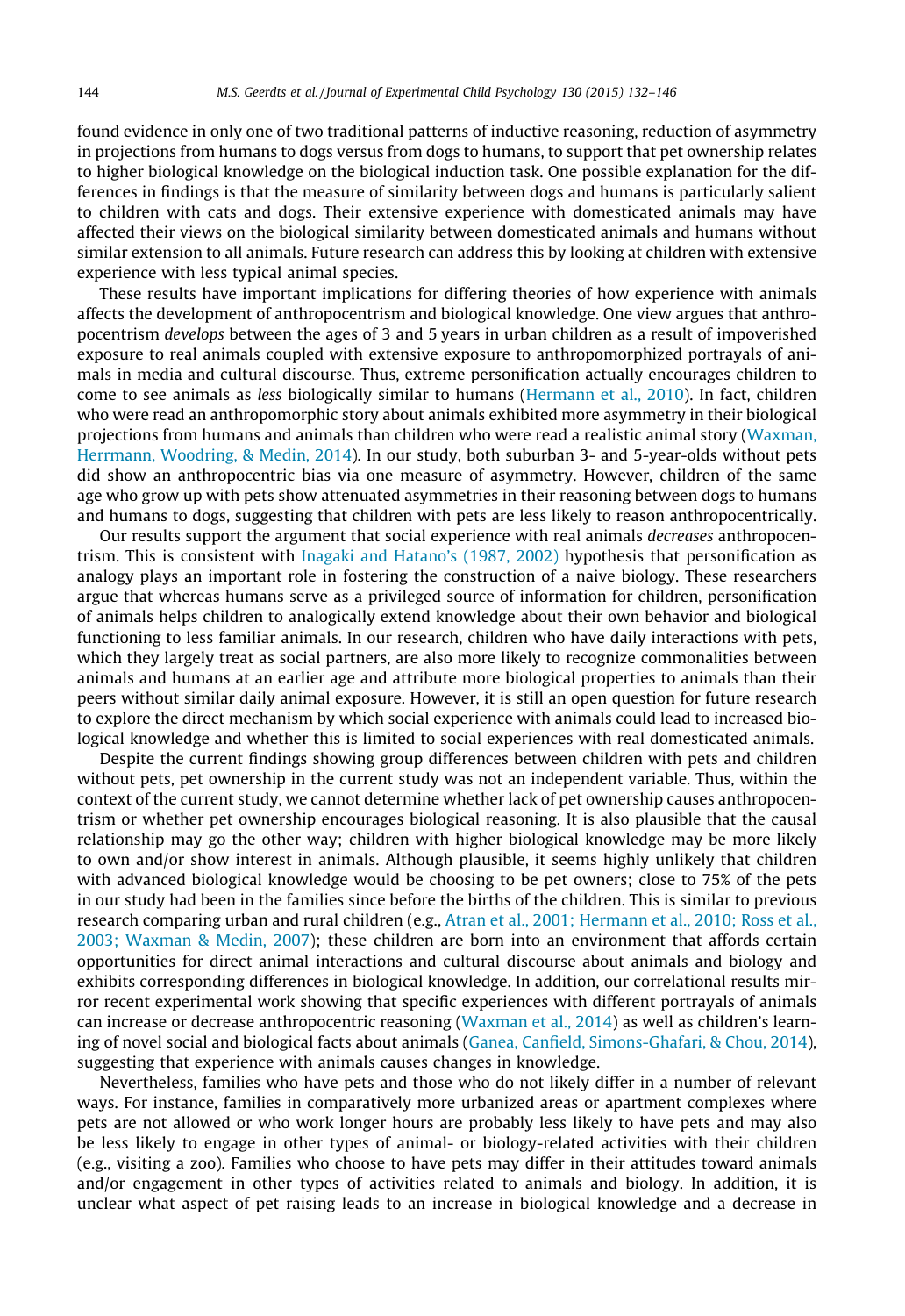found evidence in only one of two traditional patterns of inductive reasoning, reduction of asymmetry in projections from humans to dogs versus from dogs to humans, to support that pet ownership relates to higher biological knowledge on the biological induction task. One possible explanation for the differences in findings is that the measure of similarity between dogs and humans is particularly salient to children with cats and dogs. Their extensive experience with domesticated animals may have affected their views on the biological similarity between domesticated animals and humans without similar extension to all animals. Future research can address this by looking at children with extensive experience with less typical animal species.

These results have important implications for differing theories of how experience with animals affects the development of anthropocentrism and biological knowledge. One view argues that anthropocentrism develops between the ages of 3 and 5 years in urban children as a result of impoverished exposure to real animals coupled with extensive exposure to anthropomorphized portrayals of animals in media and cultural discourse. Thus, extreme personification actually encourages children to come to see animals as less biologically similar to humans [\(Hermann et al., 2010\)](#page-14-0). In fact, children who were read an anthropomorphic story about animals exhibited more asymmetry in their biological projections from humans and animals than children who were read a realistic animal story [\(Waxman,](#page-14-0) [Herrmann, Woodring, & Medin, 2014\)](#page-14-0). In our study, both suburban 3- and 5-year-olds without pets did show an anthropocentric bias via one measure of asymmetry. However, children of the same age who grow up with pets show attenuated asymmetries in their reasoning between dogs to humans and humans to dogs, suggesting that children with pets are less likely to reason anthropocentrically.

Our results support the argument that social experience with real animals *decreases* anthropocentrism. This is consistent with [Inagaki and Hatano's \(1987, 2002\)](#page-14-0) hypothesis that personification as analogy plays an important role in fostering the construction of a naive biology. These researchers argue that whereas humans serve as a privileged source of information for children, personification of animals helps children to analogically extend knowledge about their own behavior and biological functioning to less familiar animals. In our research, children who have daily interactions with pets, which they largely treat as social partners, are also more likely to recognize commonalities between animals and humans at an earlier age and attribute more biological properties to animals than their peers without similar daily animal exposure. However, it is still an open question for future research to explore the direct mechanism by which social experience with animals could lead to increased biological knowledge and whether this is limited to social experiences with real domesticated animals.

Despite the current findings showing group differences between children with pets and children without pets, pet ownership in the current study was not an independent variable. Thus, within the context of the current study, we cannot determine whether lack of pet ownership causes anthropocentrism or whether pet ownership encourages biological reasoning. It is also plausible that the causal relationship may go the other way; children with higher biological knowledge may be more likely to own and/or show interest in animals. Although plausible, it seems highly unlikely that children with advanced biological knowledge would be choosing to be pet owners; close to 75% of the pets in our study had been in the families since before the births of the children. This is similar to previous research comparing urban and rural children (e.g., [Atran et al., 2001; Hermann et al., 2010; Ross et al.,](#page-14-0) [2003; Waxman & Medin, 2007](#page-14-0)); these children are born into an environment that affords certain opportunities for direct animal interactions and cultural discourse about animals and biology and exhibits corresponding differences in biological knowledge. In addition, our correlational results mirror recent experimental work showing that specific experiences with different portrayals of animals can increase or decrease anthropocentric reasoning ([Waxman et al., 2014\)](#page-14-0) as well as children's learning of novel social and biological facts about animals ([Ganea, Canfield, Simons-Ghafari, & Chou, 2014\)](#page-14-0), suggesting that experience with animals causes changes in knowledge.

Nevertheless, families who have pets and those who do not likely differ in a number of relevant ways. For instance, families in comparatively more urbanized areas or apartment complexes where pets are not allowed or who work longer hours are probably less likely to have pets and may also be less likely to engage in other types of animal- or biology-related activities with their children (e.g., visiting a zoo). Families who choose to have pets may differ in their attitudes toward animals and/or engagement in other types of activities related to animals and biology. In addition, it is unclear what aspect of pet raising leads to an increase in biological knowledge and a decrease in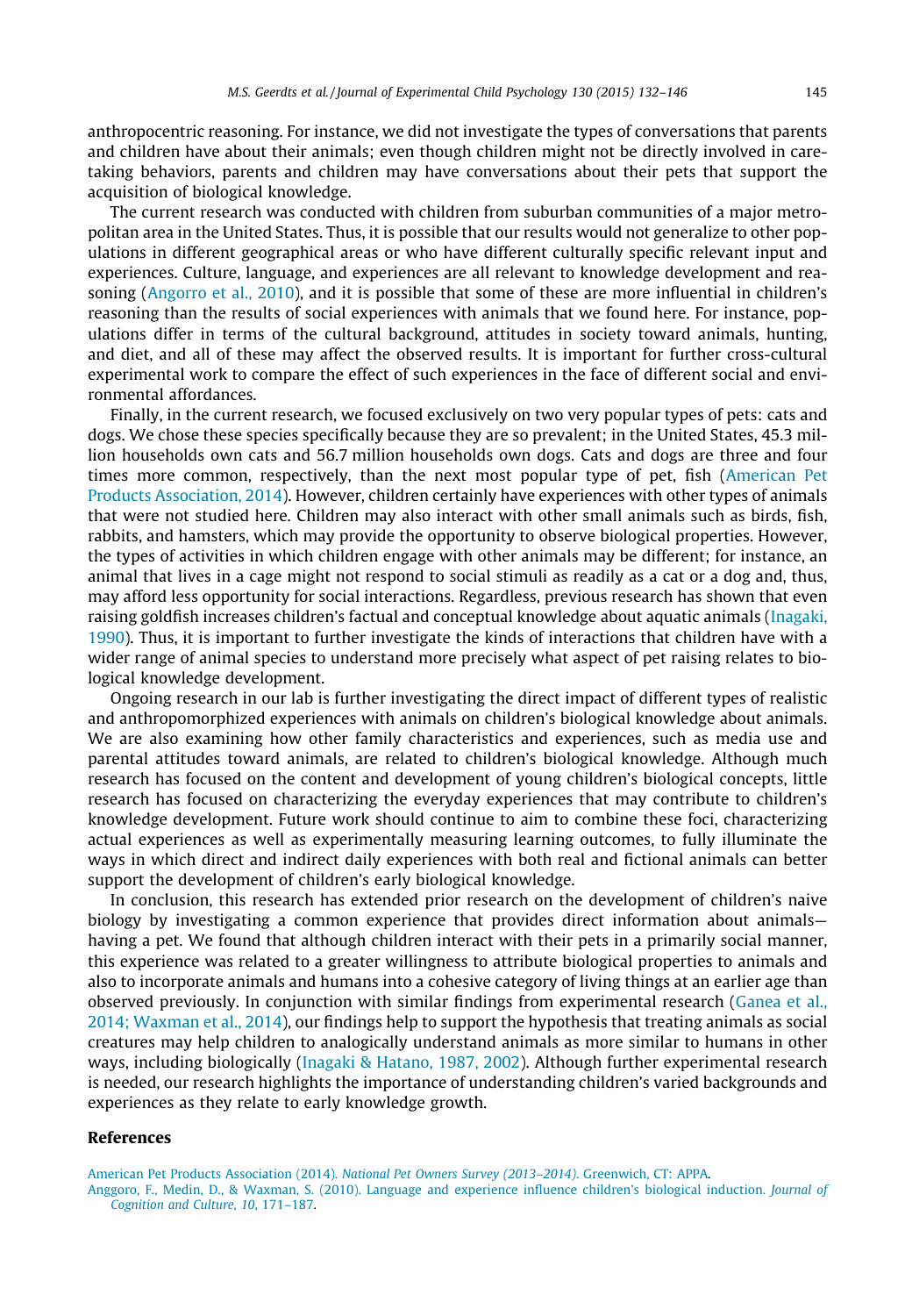<span id="page-13-0"></span>anthropocentric reasoning. For instance, we did not investigate the types of conversations that parents and children have about their animals; even though children might not be directly involved in caretaking behaviors, parents and children may have conversations about their pets that support the acquisition of biological knowledge.

The current research was conducted with children from suburban communities of a major metropolitan area in the United States. Thus, it is possible that our results would not generalize to other populations in different geographical areas or who have different culturally specific relevant input and experiences. Culture, language, and experiences are all relevant to knowledge development and reasoning (Angorro et al., 2010), and it is possible that some of these are more influential in children's reasoning than the results of social experiences with animals that we found here. For instance, populations differ in terms of the cultural background, attitudes in society toward animals, hunting, and diet, and all of these may affect the observed results. It is important for further cross-cultural experimental work to compare the effect of such experiences in the face of different social and environmental affordances.

Finally, in the current research, we focused exclusively on two very popular types of pets: cats and dogs. We chose these species specifically because they are so prevalent; in the United States, 45.3 million households own cats and 56.7 million households own dogs. Cats and dogs are three and four times more common, respectively, than the next most popular type of pet, fish (American Pet Products Association, 2014). However, children certainly have experiences with other types of animals that were not studied here. Children may also interact with other small animals such as birds, fish, rabbits, and hamsters, which may provide the opportunity to observe biological properties. However, the types of activities in which children engage with other animals may be different; for instance, an animal that lives in a cage might not respond to social stimuli as readily as a cat or a dog and, thus, may afford less opportunity for social interactions. Regardless, previous research has shown that even raising goldfish increases children's factual and conceptual knowledge about aquatic animals ([Inagaki,](#page-14-0) [1990](#page-14-0)). Thus, it is important to further investigate the kinds of interactions that children have with a wider range of animal species to understand more precisely what aspect of pet raising relates to biological knowledge development.

Ongoing research in our lab is further investigating the direct impact of different types of realistic and anthropomorphized experiences with animals on children's biological knowledge about animals. We are also examining how other family characteristics and experiences, such as media use and parental attitudes toward animals, are related to children's biological knowledge. Although much research has focused on the content and development of young children's biological concepts, little research has focused on characterizing the everyday experiences that may contribute to children's knowledge development. Future work should continue to aim to combine these foci, characterizing actual experiences as well as experimentally measuring learning outcomes, to fully illuminate the ways in which direct and indirect daily experiences with both real and fictional animals can better support the development of children's early biological knowledge.

In conclusion, this research has extended prior research on the development of children's naive biology by investigating a common experience that provides direct information about animals having a pet. We found that although children interact with their pets in a primarily social manner, this experience was related to a greater willingness to attribute biological properties to animals and also to incorporate animals and humans into a cohesive category of living things at an earlier age than observed previously. In conjunction with similar findings from experimental research ([Ganea et al.,](#page-14-0) [2014; Waxman et al., 2014\)](#page-14-0), our findings help to support the hypothesis that treating animals as social creatures may help children to analogically understand animals as more similar to humans in other ways, including biologically [\(Inagaki & Hatano, 1987, 2002](#page-14-0)). Although further experimental research is needed, our research highlights the importance of understanding children's varied backgrounds and experiences as they relate to early knowledge growth.

## References

[American Pet Products Association \(2014\).](http://refhub.elsevier.com/S0022-0965(14)00184-2/h0010) National Pet Owners Survey (2013–2014). Greenwich, CT: APPA. [Anggoro, F., Medin, D., & Waxman, S. \(2010\). Language and experience influence children's biological induction.](http://refhub.elsevier.com/S0022-0965(14)00184-2/h0005) Journal of [Cognition and Culture, 10](http://refhub.elsevier.com/S0022-0965(14)00184-2/h0005), 171–187.